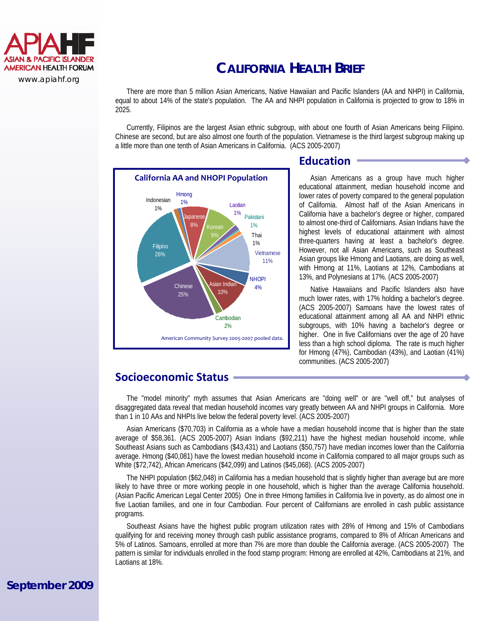

#### www.apiahf.org

# **CALIFORNIA HEALTH BRIEF**

There are more than 5 million Asian Americans, Native Hawaiian and Pacific Islanders (AA and NHPI) in California, equal to about 14% of the state's population. The AA and NHPI population in California is projected to grow to 18% in 2025.

 Currently, Filipinos are the largest Asian ethnic subgroup, with about one fourth of Asian Americans being Filipino. Chinese are second, but are also almost one fourth of the population. Vietnamese is the third largest subgroup making up a little more than one tenth of Asian Americans in California. (ACS 2005-2007)



## **Education**

 Asian Americans as a group have much higher educational attainment, median household income and lower rates of poverty compared to the general population of California. Almost half of the Asian Americans in California have a bachelor's degree or higher, compared to almost one-third of Californians. Asian Indians have the highest levels of educational attainment with almost three-quarters having at least a bachelor's degree. However, not all Asian Americans, such as Southeast Asian groups like Hmong and Laotians, are doing as well, with Hmong at 11%, Laotians at 12%, Cambodians at 13%, and Polynesians at 17%. (ACS 2005-2007)

 Native Hawaiians and Pacific Islanders also have much lower rates, with 17% holding a bachelor's degree. (ACS 2005-2007) Samoans have the lowest rates of educational attainment among all AA and NHPI ethnic subgroups, with 10% having a bachelor's degree or higher. One in five Californians over the age of 20 have less than a high school diploma. The rate is much higher for Hmong (47%), Cambodian (43%), and Laotian (41%) communities. (ACS 2005-2007)

### **Socioeconomic Status**

The "model minority" myth assumes that Asian Americans are "doing well" or are "well off," but analyses of disaggregated data reveal that median household incomes vary greatly between AA and NHPI groups in California. More than 1 in 10 AAs and NHPIs live below the federal poverty level. (ACS 2005-2007)

 Asian Americans (\$70,703) in California as a whole have a median household income that is higher than the state average of \$58,361. (ACS 2005-2007) Asian Indians (\$92,211) have the highest median household income, while Southeast Asians such as Cambodians (\$43,431) and Laotians (\$50,757) have median incomes lower than the California average. Hmong (\$40,081) have the lowest median household income in California compared to all major groups such as White (\$72,742), African Americans (\$42,099) and Latinos (\$45,068). (ACS 2005-2007)

 The NHPI population (\$62,048) in California has a median household that is slightly higher than average but are more likely to have three or more working people in one household, which is higher than the average California household. (Asian Pacific American Legal Center 2005) One in three Hmong families in California live in poverty, as do almost one in five Laotian families, and one in four Cambodian. Four percent of Californians are enrolled in cash public assistance programs.

 Southeast Asians have the highest public program utilization rates with 28% of Hmong and 15% of Cambodians qualifying for and receiving money through cash public assistance programs, compared to 8% of African Americans and 5% of Latinos. Samoans, enrolled at more than 7% are more than double the California average. (ACS 2005-2007) The pattern is similar for individuals enrolled in the food stamp program: Hmong are enrolled at 42%, Cambodians at 21%, and Laotians at 18%.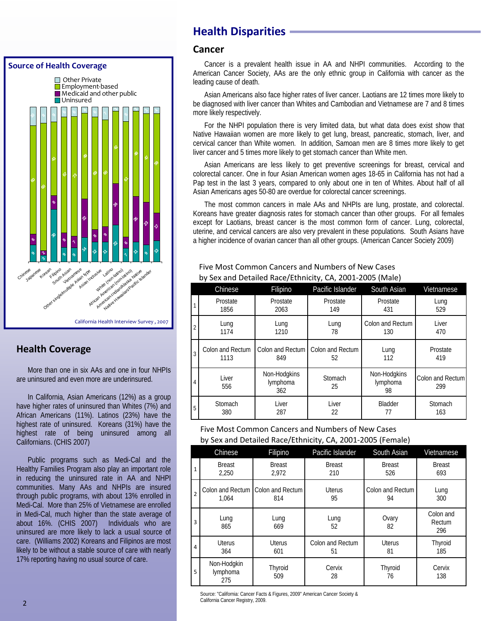

## **Health Coverage**

 More than one in six AAs and one in four NHPIs are uninsured and even more are underinsured.

 In California, Asian Americans (12%) as a group have higher rates of uninsured than Whites (7%) and African Americans (11%). Latinos (23%) have the highest rate of uninsured. Koreans (31%) have the highest rate of being uninsured among all Californians. (CHIS 2007)

 Public programs such as Medi-Cal and the Healthy Families Program also play an important role in reducing the uninsured rate in AA and NHPI communities. Many AAs and NHPIs are insured through public programs, with about 13% enrolled in Medi-Cal. More than 25% of Vietnamese are enrolled in Medi-Cal, much higher than the state average of about 16%. (CHIS 2007) Individuals who are uninsured are more likely to lack a usual source of care. (Williams 2002) Koreans and Filipinos are most likely to be without a stable source of care with nearly 17% reporting having no usual source of care.

# **Health Disparities**

### **Cancer**

Cancer is a prevalent health issue in AA and NHPI communities. According to the American Cancer Society, AAs are the only ethnic group in California with cancer as the leading cause of death.

 Asian Americans also face higher rates of liver cancer. Laotians are 12 times more likely to be diagnosed with liver cancer than Whites and Cambodian and Vietnamese are 7 and 8 times more likely respectively.

 For the NHPI population there is very limited data, but what data does exist show that Native Hawaiian women are more likely to get lung, breast, pancreatic, stomach, liver, and cervical cancer than White women. In addition, Samoan men are 8 times more likely to get liver cancer and 5 times more likely to get stomach cancer than White men.

 Asian Americans are less likely to get preventive screenings for breast, cervical and colorectal cancer. One in four Asian American women ages 18-65 in California has not had a Pap test in the last 3 years, compared to only about one in ten of Whites. About half of all Asian Americans ages 50-80 are overdue for colorectal cancer screenings.

 The most common cancers in male AAs and NHPIs are lung, prostate, and colorectal. Koreans have greater diagnosis rates for stomach cancer than other groups. For all females except for Laotians, breast cancer is the most common form of cancer. Lung, colorectal, uterine, and cervical cancers are also very prevalent in these populations. South Asians have a higher incidence of ovarian cancer than all other groups. (American Cancer Society 2009)

|                | Chinese          | Filipino                        | Pacific Islander | South Asian                    | Vietnamese              |  |  |  |  |  |
|----------------|------------------|---------------------------------|------------------|--------------------------------|-------------------------|--|--|--|--|--|
| 1              | Prostate         | Prostate                        | Prostate         | Prostate                       | Lung                    |  |  |  |  |  |
|                | 1856             | 2063                            | 149              | 431                            | 529                     |  |  |  |  |  |
| $\overline{2}$ | Lung             | Lung                            | Lung             | Colon and Rectum               | Liver                   |  |  |  |  |  |
|                | 1174             | 1210                            | 78               | 130                            | 470                     |  |  |  |  |  |
| 3              | Colon and Rectum | Colon and Rectum                | Colon and Rectum | Lung                           | Prostate                |  |  |  |  |  |
|                | 1113             | 849                             | 52               | 112                            | 419                     |  |  |  |  |  |
| 4              | Liver<br>556     | Non-Hodgkins<br>lymphoma<br>362 | Stomach<br>25    | Non-Hodgkins<br>lymphoma<br>98 | Colon and Rectum<br>299 |  |  |  |  |  |
| 5              | Stomach          | Liver                           | Liver            | Bladder                        | Stomach                 |  |  |  |  |  |
|                | 380              | 287                             | 22               | 77                             | 163                     |  |  |  |  |  |

#### Five Most Common Cancers and Numbers of New Cases by Sex and Detailed Race/Ethnicity, CA, 2001‐2005 (Male)

Five Most Common Cancers and Numbers of New Cases by Sex and Detailed Race/Ethnicity, CA, 2001‐2005 (Female)

|                | Chinese                        | Filipino                                 | Pacific Islander       | South Asian            | Vietnamese                 |
|----------------|--------------------------------|------------------------------------------|------------------------|------------------------|----------------------------|
| $\mathbf{1}$   | <b>Breast</b><br>2.250         | <b>Breast</b><br>2.972                   | <b>Breast</b><br>210   | <b>Breast</b><br>526   | <b>Breast</b><br>693       |
| $\overline{2}$ | 1.064                          | Colon and Rectum Colon and Rectum<br>814 | <b>Uterus</b><br>95    | Colon and Rectum<br>94 | Lung<br>300                |
| 3              | Lung<br>865                    | Lung<br>669                              | Lung<br>52             | Ovary<br>82            | Colon and<br>Rectum<br>296 |
| 4              | <b>Uterus</b><br>364           | <b>Uterus</b><br>601                     | Colon and Rectum<br>51 | <b>Uterus</b><br>81    | Thyroid<br>185             |
| 5              | Non-Hodgkin<br>lymphoma<br>275 | Thyroid<br>509                           | Cervix<br>28           | Thyroid<br>76          | Cervix<br>138              |

Source: "California: Cancer Facts & Figures, 2009" American Cancer Society & California Cancer Registry, 2009.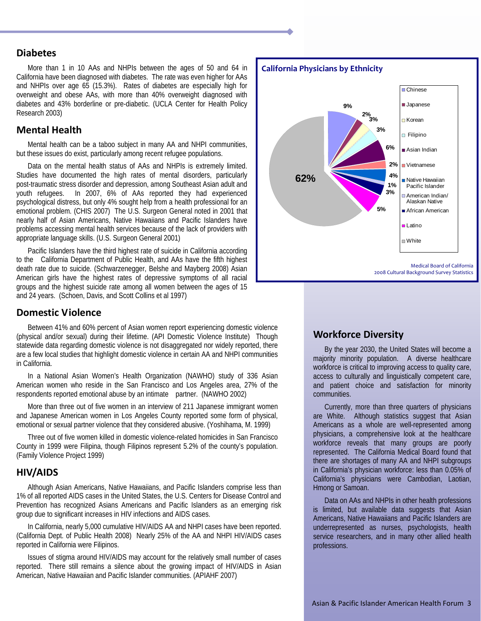### **Diabetes**

 More than 1 in 10 AAs and NHPIs between the ages of 50 and 64 in California have been diagnosed with diabetes. The rate was even higher for AAs and NHPIs over age 65 (15.3%). Rates of diabetes are especially high for overweight and obese AAs, with more than 40% overweight diagnosed with diabetes and 43% borderline or pre-diabetic. (UCLA Center for Health Policy Research 2003)

#### **Mental Health**

 Mental health can be a taboo subject in many AA and NHPI communities, but these issues do exist, particularly among recent refugee populations.

 Data on the mental health status of AAs and NHPIs is extremely limited. Studies have documented the high rates of mental disorders, particularly post-traumatic stress disorder and depression, among Southeast Asian adult and youth refugees. In 2007, 6% of AAs reported they had experienced psychological distress, but only 4% sought help from a health professional for an emotional problem. (CHIS 2007) The U.S. Surgeon General noted in 2001 that nearly half of Asian Americans, Native Hawaiians and Pacific Islanders have problems accessing mental health services because of the lack of providers with appropriate language skills. (U.S. Surgeon General 2001)

 Pacific Islanders have the third highest rate of suicide in California according to the California Department of Public Health, and AAs have the fifth highest death rate due to suicide. (Schwarzenegger, Belshe and Mayberg 2008) Asian American girls have the highest rates of depressive symptoms of all racial groups and the highest suicide rate among all women between the ages of 15 and 24 years. (Schoen, Davis, and Scott Collins et al 1997)

#### **Domestic Violence**

 Between 41% and 60% percent of Asian women report experiencing domestic violence (physical and/or sexual) during their lifetime. (API Domestic Violence Institute) Though statewide data regarding domestic violence is not disaggregated nor widely reported, there are a few local studies that highlight domestic violence in certain AA and NHPI communities in California.

 In a National Asian Women's Health Organization (NAWHO) study of 336 Asian American women who reside in the San Francisco and Los Angeles area, 27% of the respondents reported emotional abuse by an intimate partner. (NAWHO 2002)

 More than three out of five women in an interview of 211 Japanese immigrant women and Japanese American women in Los Angeles County reported some form of physical, emotional or sexual partner violence that they considered abusive. (Yoshihama, M. 1999)

 Three out of five women killed in domestic violence-related homicides in San Francisco County in 1999 were Filipina, though Filipinos represent 5.2% of the county's population. (Family Violence Project 1999)

#### **HIV/AIDS**

 Although Asian Americans, Native Hawaiians, and Pacific Islanders comprise less than 1% of all reported AIDS cases in the United States, the U.S. Centers for Disease Control and Prevention has recognized Asians Americans and Pacific Islanders as an emerging risk group due to significant increases in HIV infections and AIDS cases.

 In California, nearly 5,000 cumulative HIV/AIDS AA and NHPI cases have been reported. (California Dept. of Public Health 2008) Nearly 25% of the AA and NHPI HIV/AIDS cases reported in California were Filipinos.

 Issues of stigma around HIV/AIDS may account for the relatively small number of cases reported. There still remains a silence about the growing impact of HIV/AIDS in Asian American, Native Hawaiian and Pacific Islander communities. (APIAHF 2007)



### **Workforce Diversity**

 By the year 2030, the United States will become a majority minority population. A diverse healthcare workforce is critical to improving access to quality care, access to culturally and linguistically competent care, and patient choice and satisfaction for minority communities.

 Currently, more than three quarters of physicians are White. Although statistics suggest that Asian Americans as a whole are well-represented among physicians, a comprehensive look at the healthcare workforce reveals that many groups are poorly represented. The California Medical Board found that there are shortages of many AA and NHPI subgroups in California's physician workforce: less than 0.05% of California's physicians were Cambodian, Laotian, Hmong or Samoan.

 Data on AAs and NHPIs in other health professions is limited, but available data suggests that Asian Americans, Native Hawaiians and Pacific Islanders are underrepresented as nurses, psychologists, health service researchers, and in many other allied health professions.